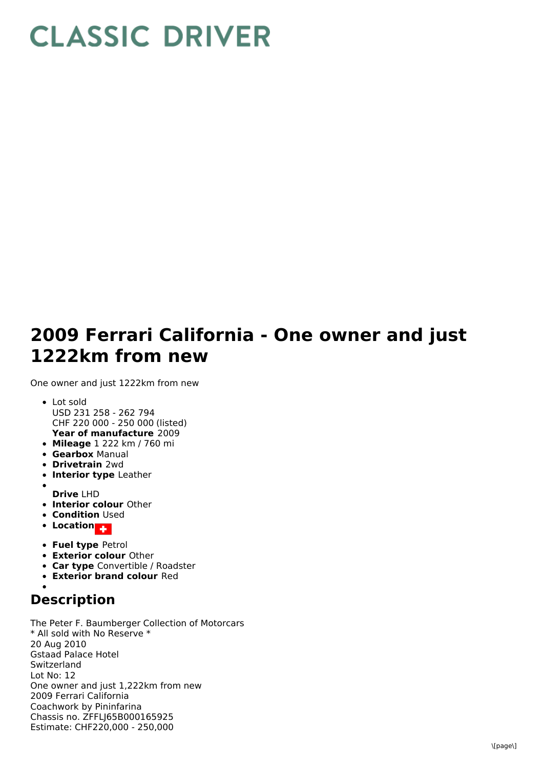## **CLASSIC DRIVER**

## **2009 Ferrari California - One owner and just 1222km from new**

One owner and just 1222km from new

- **Year of manufacture** 2009 Lot sold USD 231 258 - 262 794 CHF 220 000 - 250 000 (listed)
- **Mileage** 1 222 km / 760 mi
- **Gearbox** Manual
- **Drivetrain** 2wd
- **Interior type** Leather
- **Drive** LHD
- **Interior colour** Other
- **Condition Used**
- **Location**
- **Fuel type** Petrol
- **Exterior colour** Other
- **Car type** Convertible / Roadster
- **Exterior brand colour** Red
- 

## **Description**

The Peter F. Baumberger Collection of Motorcars \* All sold with No Reserve \* 20 Aug 2010 Gstaad Palace Hotel Switzerland Lot No: 12 One owner and just 1,222km from new 2009 Ferrari California Coachwork by Pininfarina Chassis no. ZFFLJ65B000165925 Estimate: CHF220,000 - 250,000